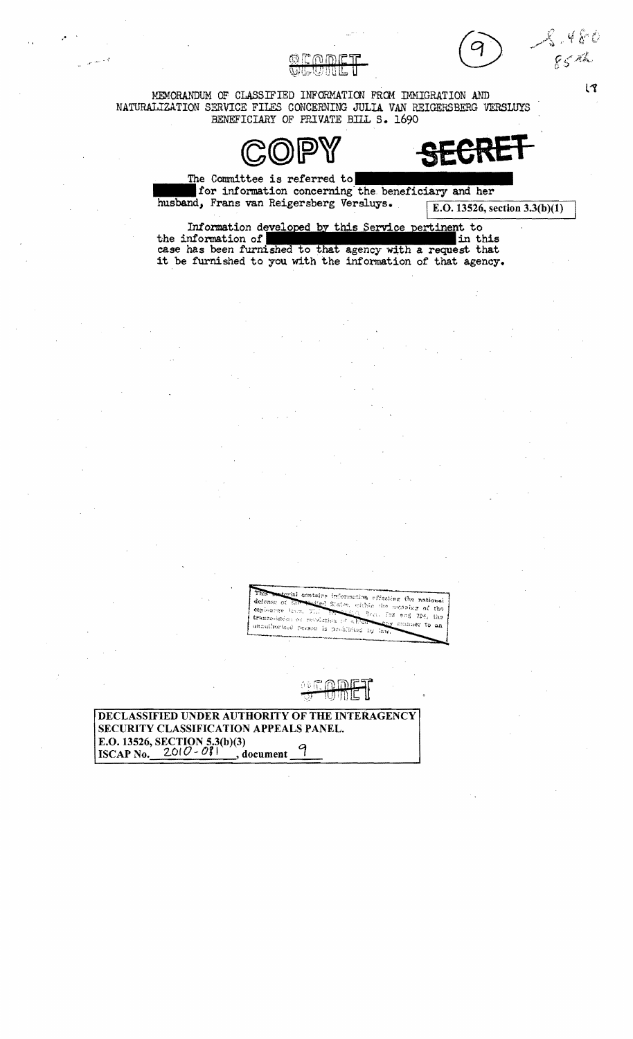85 th

 $\overline{3}$ 



MEMORANDUM OF CLASSIFIED INFORMATION FROM IMMIGRATION AND NATURALIZATION SERVICE FILES CONCERNING JULIA VAN REIGERSBERG VERSLUYS BENEFICIARY OF PRIVATE BILL S. 1690



The Committee is referred to for information concerning the beneficiary and her husband, Frans van Reigersberg Versluys.

E.O. 13526, section  $3.3(b)(1)$ 

Information developed by this Service pertinent to the information of in this case has been furnished to that agency with a request that it be furnished to you with the information of that agency.

> ial contains information effecting the national defense of States, within the meaning of the esploance layes, 37,  $3rx$ .  $793 - 963 - 794$ , the transorization or prevaintion of र जिल्ला manner to an unauthorized person is problizied by law

DECLASSIFIED UNDER AUTHORITY OF THE INTERAGENCY SECURITY CLASSIFICATION APPEALS PANEL. E.O. 13526, SECTION 5.3(b)(3) ISCAP No.  $2010 - 081$ , document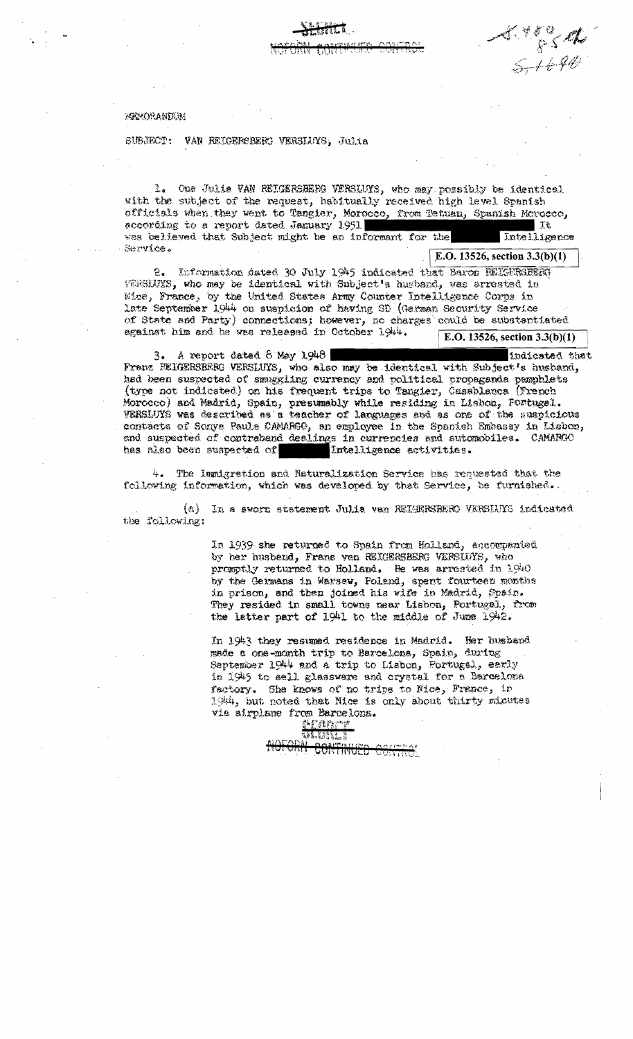MEMORANDUM

SUBJECT: VAN REIGERSBERG VERSIDYS, Julia

1. One Julia VAN REIGERSBERG VERSLUYS, who may possibly be identical with the subject of the request, habitually received high level Spanish officials when they went to Tangier, Morocco, from Tetuan, Spanish Morocco, according to a report dated January 1951 |美七 was believed that Subject might be an informant for the Intelligence Service. E.O. 13526, section  $3.3(b)(1)$ 

 $\frac{4.7834}{5.1690}$ 

2. Information dated 30 July 1945 indicated that Baron REIGERSEERT VERSLUYS, who may be identical with Subject's husband, was arrested in Wice, France, by the United States Army Counter Intelligence Corps in late September 1944 on suspicion of having SD (German Security Service of State and Party) connections; however, no charges could be substantiated against him and he was released in October 1944. E.O. 13526, section  $3.3(b)(1)$ 

 $3.$  A report dated  $8$  May 1948 indicated that Franz REIGERSBERG VERSLUYS, who also may be identical with Subject's husband, had been suspected of smuggling currency and political propaganda pamphlets (type not indicated) on his frequent trips to Tangier, Casablanca (French Morocco) and Madrid, Spain, presumably while residing in Lisbon, Fortugel. VERSLUYS was described as a teacher of languages and as one of the suspicious contacts of Sonya Paula CAMARGO, an employee in the Spanish Embassy in Lisbon, and suspected of contraband dealings in currencies and automobiles. CAMARCAO has also been suspected of Intelligence activities.

4. The Immigration and Naturalization Service has requested that the following information, which was developed by that Service, be furnished..

(a) In a sworn statement Julia van REIGERSERRO VERSIUYS indicated the following:

> In 1939 she returned to Spain from Holland, accompanied by her husband, Frans van REICERSBERG VERSLUYS, who promotly returned to Holland, He was arrested in 1940 by the Germans in Warsaw, Poland, spent fourteen months in prison, and then joined his wife in Madrid, Spain. They resided in small towns near Lishon, Portugal, from the latter part of 1941 to the middle of June 1942.

In 1943 they resumed residence in Madrid. Her husband made a one-month trip to Barcelona, Spain, during September 1944 and a trip to Lisbon, Portugal, early in 1945 to sell glassware and crystal for a Barcelona factory. She knows of no trips to Mice, France, in 1944, but noted that Mice is only about thirty minutes via sirplane from Barcelona.

<u>aranc</u>e